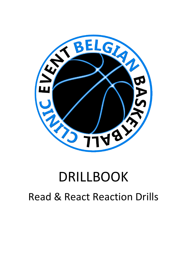

# DRILLBOOK Read & React Reaction Drills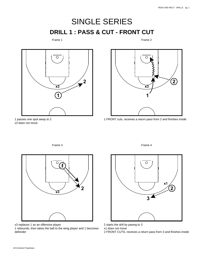# SINGLE SERIES **DRILL 1 : PASS & CUT - FRONT CUT**

## Frame 1

Frame 2





1 FRONT cuts, receives a return pass from 2 and finishes inside

1 passes one spot away to 2 x3 does not move

Frame 3



x3 replaces 1 as an offensive player

1 rebounds, then takes the ball to the wing player and 1 becomes defender

Frame 4



2 starts the drill by pasing to 3

x1 does not move

2 FRONT CUTS, receives a return pass from 3 and finishes inside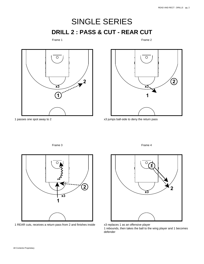**2**

# SINGLE SERIES **DRILL 2 : PASS & CUT - REAR CUT**

## Frame 1

Frame 2

 $\bigcirc$ 

**x3**



1 passes one spot away to 2



Frame 3



1 REAR cuts, receives a return pass from 2 and finishes inside



Frame 4



x3 replaces 1 as an offensive player

1 rebounds, then takes the ball to the wing player and 1 becomes defender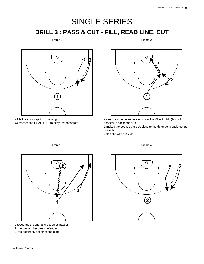# SINGLE SERIES **DRILL 3 : PASS & CUT - FILL, READ LINE, CUT**

#### Frame 1

Frame 2



2 fills the empty spot on the wing x3 crosses the READ LINE to deny the pass from 1



as soon as the defender steps over the READ LINE (but not sooner), 2 backdoor cuts

1 makes the bounce pass as close to the defender's back foot as possible

Frame 4

2 finishes with a lay-up



Frame 3

2 rebounds the shot and becomes passer

1, the passer, becomes defender

3, the defender, becomes the cutter

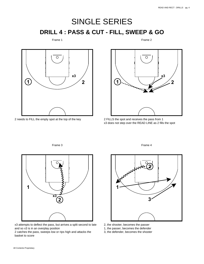# SINGLE SERIES **DRILL 4 : PASS & CUT - FILL, SWEEP & GO**

#### Frame 1

Frame 2



2 needs to FILL the empty spot at the top of the key



2 FILLS the spot and receives the pass from 1 x3 does not step over the READ LINE as 2 fills the spot

**1 2 x3**

x3 attempts to deflect the pass, but arrives a split second to late and so x3 is in an overplay position

2 catches the pass, sweeps low or rips high and attacks the basket to score



Frame 4

- 2, the shooter, becomes the passer
- 1, the passer, becomes the defender
- 3, the defender, becomes the shooter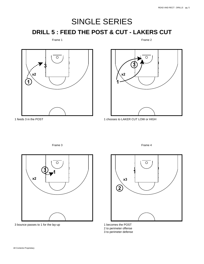# SINGLE SERIES **DRILL 5 : FEED THE POST & CUT - LAKERS CUT**

Frame 1

Frame 2



1 feeds 3 in the POST



1 chooses to LAKER CUT LOW or HIGH





3 bounce passes to 1 for the lay-up

Frame 4



1 becomes the POST 2 to perimeter offense 3 to perimeter defense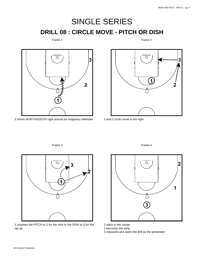# SINGLE SERIES **DRILL 08 : CIRCLE MOVE - PITCH OR DISH**

Frame 1

Frame 2



drives NORTH/SOUTH right around an imaginary defender



and 3 circle move to the right

Frame 3



 chooses the PITCH to 2 for the shot or the DISH to 3 for the lay-up



Frame 4

stays in the corner

becomes the wing

rebounds and starts the drill as the penetrator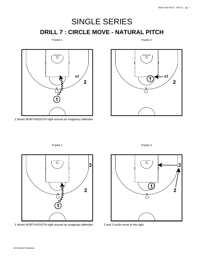# SINGLE SERIES **DRILL 7 : CIRCLE MOVE - NATURAL PITCH**

Frame 1

Frame 2



1 drives NORTH/SOUTH right around an imaginary defender





1 drives NORTH/SOUTH right around an imaginary defender





2 and 3 circle move to the right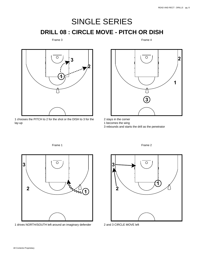# SINGLE SERIES **DRILL 08 : CIRCLE MOVE - PITCH OR DISH**

## Frame 3

Frame 4



 chooses the PITCH to 2 for the shot or the DISH to 3 for the lay-up



stays in the corner

becomes the wing

rebounds and starts the drill as the penetrator



drives NORTH/SOUTH left around an imaginary defender



Frame 2

and 3 CIRCLE MOVE left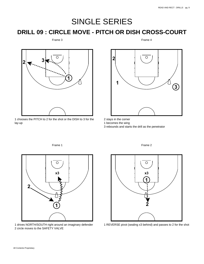## SINGLE SERIES

## **DRILL 09 : CIRCLE MOVE - PITCH OR DISH CROSS-COURT**

### Frame 3

Frame 4



 chooses the PITCH to 2 for the shot or the DISH to 3 for the lay-up

Frame 1



stays in the corner

becomes the wing

rebounds and starts the drill as the penetrator



 drives NORTH/SOUTH right around an imaginary defender circle moves to the SAFETY VALVE



Frame 2



REVERSE pivot (sealing x3 behind) and passes to 2 for the shot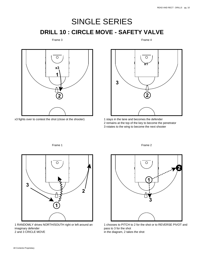# SINGLE SERIES **DRILL 10 : CIRCLE MOVE - SAFETY VALVE**

Frame 3

Frame 4



x3 fights over to contest the shot (close ot the shooter)



1 stays in the lane and becomes the defender 2 remains at the top of the key to become the penetrator 3 rotates to the wing to become the next shooter



Frame 1

1 RANDOMLY drives NORTH/SOUTH right or left around an imaginary defender 2 and 3 CRICLE MOVE

 $\circ$ **1**

**2**



1 chooses to PITCH to 2 for the shot or to REVERSE PIVOT and pass to 3 for the shot in the diagram, 2 takes the shot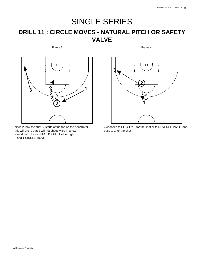## SINGLE SERIES **DRILL 11 : CIRCLE MOVES - NATURAL PITCH OR SAFETY VALVE**

Frame 3



since 2 took the shot, 2 starts at the top as the penetrator this will ensre that 2 will not shoot twice in a row 2 randomlu drives NORTH/SOUTH left or right 3 and 1 CIRCLE MOVE



2 chooses to PITCH to 3 for the shot or to REVERSE PIVOT and pass to 1 for the shot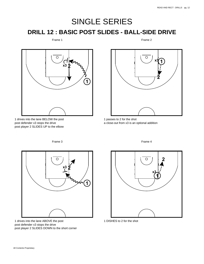# SINGLE SERIES **DRILL 12 : BASIC POST SLIDES - BALL-SIDE DRIVE**

### Frame 1

Frame 2



1 drives into the lane BELOW the post post defender x3 stops the drive post player 2 SLIDES UP to the elbow



1 passes to 2 for the shot a close-out from x3 is an optional addition

O **x3 2 1**

Frame 3

1 drives into the lane ABOVE the post post defender x3 stops the drive post player 2 SLIDES DOWN to the short corner



1 DISHES to 2 for the shot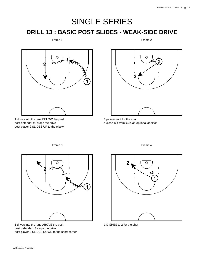## SINGLE SERIES **DRILL 13 : BASIC POST SLIDES - WEAK-SIDE DRIVE**

#### Frame 1

Frame 2



1 drives into the lane BELOW the post post defender x3 stops the drive post player 2 SLIDES UP to the elbow



1 passes to 2 for the shot a close-out from x3 is an optional addition

Frame 3



1 drives into the lane ABOVE the post post defender x3 stops the drive post player 2 SLIDES DOWN to the short corner



1 DISHES to 2 for the shot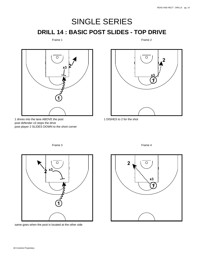# SINGLE SERIES **DRILL 14 : BASIC POST SLIDES - TOP DRIVE**

Frame 1

Frame 2



1 drives into the lane ABOVE the post post defender x3 stops the drive post player 2 SLIDES DOWN to the short corner



1 DISHES to 2 for the shot

Frame 3



same goes when the psot is located at the other side

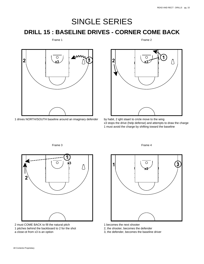**1**

## SINGLE SERIES

## **DRILL 15 : BASELINE DRIVES - CORNER COME BACK**

#### Frame 1

**2 x**3 **1**  $\sqrt{2}$ 

1 drives NORTH/SOUTH baseline around an imaginary defender

Frame 3



2  $\sqrt{x^3}$ 

by habit, 2 ight staart to cricle move to the wing x3 stops the drive (help defense) and attempts to draw the charge 1 must avoid the charge by shifting toward the baseline

Frame 2



2 must COME BACK to fill the natural pitch 1 pitches behind the backboard to 2 for the shot a close-ot from x3 is an option



- 1 becomes the next shooter
- 2, the shooter, becomes the defender
- 3, the defender, becomes the baseline driver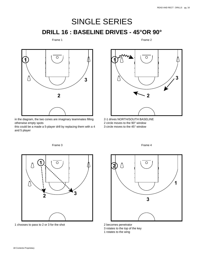# SINGLE SERIES **DRILL 16 : BASELINE DRIVES - 45°OR 90°**

## Frame 1

Frame 2



in the diagram, the two cones are imaginary teammates filling otherwise empty spots

this could be a made a 5-player drill by replacing them with a 4 and 5 player



2-1 drives NORTH/SOUTH BASELINE 2 circle moves to the 90° window 3 circle moves to the 45° window



1 chooses to pass to 2 or 3 for the shot



Frame 4

2 becomes penetrator

3 rotates to the top of the key

1 rotates to the wing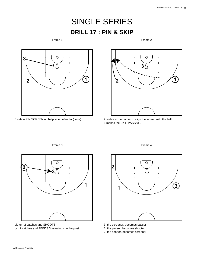## SINGLE SERIES **DRILL 17 : PIN & SKIP**

Frame 1

Frame 2



3 sets a PIN SCREEN on help side defender (cone)



2 slides to the corner to align the screen with the ball 1 makes the SKIP PASS to 2



Frame 3

either : 2 catches and SHOOTS or : 2 catches and FEEDS 3 seaaling 4 in the post



- 3, the screener, becomes passer
- 1, the passer, becomes shooter
- 2, the shooer, becomes screener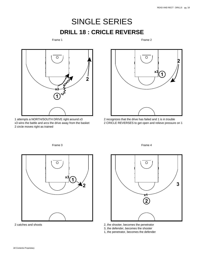## SINGLE SERIES **DRILL 18 : CRICLE REVERSE**

#### Frame 1

Frame 2



1 attempts a NORTH/SOUTH DRIVE right around x3 x3 wins the battle and arcs the drive away from the basket 2 circle moves right as trained



2 recognizes that the drive has failed and 1 is in trouble 2 CRICLE REVERSES to get open and relieve pressure on 1



Frame 3

2 catches and shoots





- 2, the shooter, becomes the penetrator
- 3, the defender, becomes the shooter
- 1, the penetrator, becomes the defender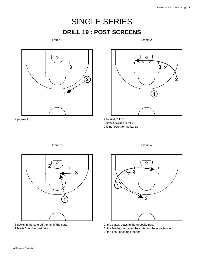**2**

# SINGLE SERIES **DRILL 19 : POST SCREENS**

Frame 1

Frame 2

Ο

**3**

**1**



2 passes to 1

2 basket CUTS 3 sets a SCREEN for 2

2 is not open for the lay-up





3 ducks in the lane off the tail of the cutter 1 feeds 3 for the post finish



- 2, the cutter, stays in the opposite post
- 1, the feeder, becomes the cutter on the oposite wing
- 3, the post, becomes feeder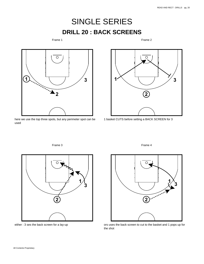## SINGLE SERIES **DRILL 20 : BACK SCREENS**

Frame 1

Frame 2



here we use the top three spots, but any perimeter spot can be used

Frame 3



1 basket CUTS before setting a BACK SCREEN for 3



either : 3 ses the back screen for a lay-up



ors uses the back screen to cut to the basket and 1 pops up for the shot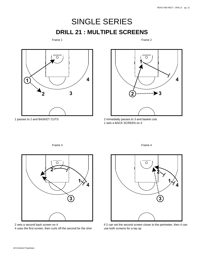# SINGLE SERIES **DRILL 21 : MULTIPLE SCREENS**

### Frame 1

Frame 2







 immediatly passes to 3 and basket cuts sets a BACK SCREEN on 4

Frame 3



sets a second back screen on 4

uses the first screen, then curls off the second for the shot



if 2 can set the second screen closer to the perimeter, then 4 can use both screens for a lay-up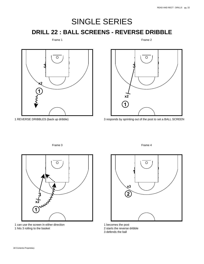# SINGLE SERIES **DRILL 22 : BALL SCREENS - REVERSE DRIBBLE**

Frame 1

Frame 2



1 REVERSE DRIBBLES (back up dribble)



3 responds by sprinting out of the post to set a BALL SCREEN





1 can use the screen in either direction 1 hits 3 rolling to the basket

Frame 4



1 becomes the post

2 starts the reverse dribble

3 defends the ball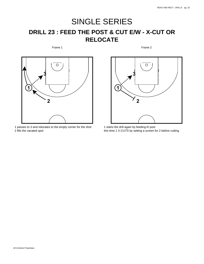## SINGLE SERIES **DRILL 23 : FEED THE POST & CUT E/W - X-CUT OR RELOCATE**

Frame 1

Frame 2



1 passes to 3 and relocates to the empty corner for the shot 2 fills the vacated spot



1 starts the drill again by feeding th post this time 1 X-CUTS by setting a screen for 2 before cutting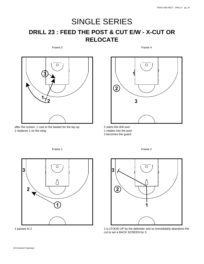## SINGLE SERIES **DRILL 23 : FEED THE POST & CUT E/W - X-CUT OR RELOCATE**

Frame 3

Frame 4



after the screen, 1 cuts to the basket for the lay-up replaces 1 on the wing



 starts the drill over rotates into the post

becomes the guard



passes to 2



Frame 2

 is sTOOD UP by the defender and so immediately abandons the cut to set a BACK SCREEN for 3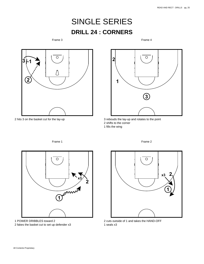## SINGLE SERIES **DRILL 24 : CORNERS**

Frame 3

Frame 4



hits 3 on the basket cut for the lay-up



 rebouds the lay-up and rotates to the point shifts to the corner fills the wing



 POWER DRIBBLES toward 2 fakes the basket cut to set up defender x3



Frame 2

 cuts outside of 1 and takes the HAND-OFF seals x3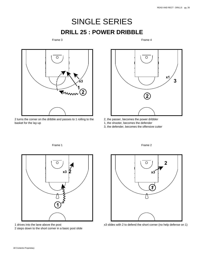## SINGLE SERIES **DRILL 25 : POWER DRIBBLE**

#### Frame 3

Frame 4



2 turns the corner on the dribble and passes to 1 rolling to the basket for the lay-up

Frame 1



- 2, the passer, becomes the power dribbler
- 1, the shooter, becomes the defender
- 3, the defender, becomes the offensive cutter



1 drives into the lane above the post

2 steps down to the short corner in a basic post slide



x3 slides with 2 to defend the short corner (no help defense on 1)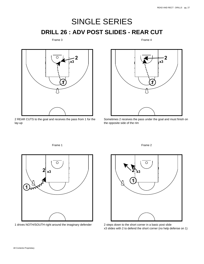# SINGLE SERIES **DRILL 26 : ADV POST SLIDES - REAR CUT**

## Frame 3

Frame 4



2 REAR CUTS to the goal and receives the pass from 1 for the lay-up

Frame 1



Sometimes 2 receives the pass under the goal and must finish on the opposite side of the rim



1 drives NOTH/SOUTH right around the imaginary defender



2 steps down to the short corner in a basic post slide x3 slides with 2 to defend the short corner (no help defense on 1)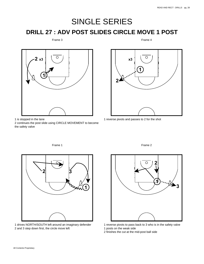# SINGLE SERIES

## **DRILL 27 : ADV POST SLIDES CIRCLE MOVE 1 POST**

#### Frame 3

Frame 4



is stopped in the lane

 continues the post slide using CIRCLE MOVEMENT to become the safety valve

Frame 1



reverse pivots and passes to 2 for the shot



 drives NORTH/SOUTH left around an imaginary defender and 3 step down first, the circle move left





 reverse pivots to pass back to 3 who is in the safety valve posts on the weak side

finishes the cut at the mid-post ball side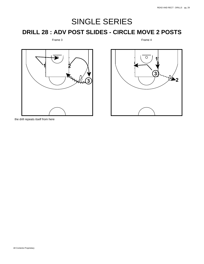# SINGLE SERIES

## **DRILL 28 : ADV POST SLIDES - CIRCLE MOVE 2 POSTS**

## Frame 3





the drill repeats itself from here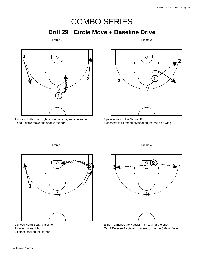## COMBO SERIES **Drill 29 : Circle Move + Baseline Drive**

#### Frame 1

Frame 2



 drives North/South right around an imaginary defender. and 3 cricle move one spot to the right.



 passes to 2 in the Natural Pitch chooses to fill the empty spot on the ball-side wing



Frame 3

drives North/South baseline

circle moves right

comes back to the corner

Frame 4



Either : 2 makes the Natrual Pitch to 3 for the shot Or : 2 Reverse Pivots and passes to 1 in the Safety Vavle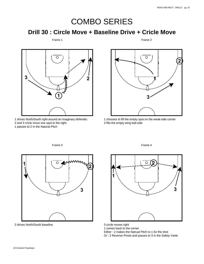## **Drill 30 : Circle Move + Baseline Drive + Cricle Move**

#### Frame 1

Frame 2



 drives North/South right around an imaginary defender. and 3 cricle move one spot to the right.

passes to 2 in the Natural Pitch



 chooses to fill the empty spot on the weak-side corner fills the empty wing ball-side



drives North/South baseline

# 

Frame 4

circle moves right

comes back to the corner

Either : 2 makes the Natrual Pitch to 1 for the shot

Or : 2 Reverse Pivots and passes to 3 in the Safety Vavle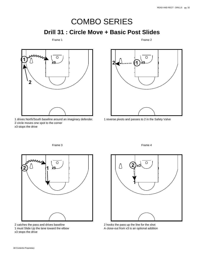## **Drill 31 : Circle Move + Basic Post Slides**

Frame 1

Frame 2



1 drives North/South baseline around an imaginary defender. 2 circle moves one spot to the corner x3 stops the drive



Frame 4

1 reverse pivots and passes to 2 in the Safety Valve



2 catches the pass and drives baseline 1 must Slide Up the lane toward the elbow x3 stops the drive



2 hooks the pass up the line for the shot A close-out from x3 is an optional addition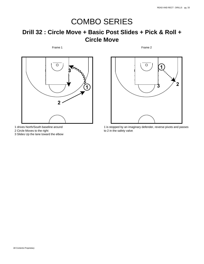## **Drill 32 : Circle Move + Basic Post Slides + Pick & Roll + Circle Move**

Frame 1



1 drives North/South baseline around

2 Circle Moves to the right

3 Slides Up the lane toward the elbow



Frame 2

1 is stopped by an imaginary defender, reverse pivots and passes to 2 in the safety valve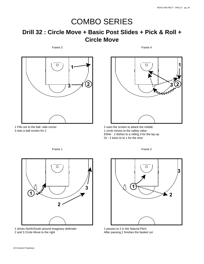## **Drill 32 : Circle Move + Basic Post Slides + Pick & Roll + Circle Move**

Frame 3



1 Fills out to the ball -side corner 3 sets a ball screen for 2

**1** O **2 MANN** 

Frame 4

2 uses the screen to attack the middle 1 circle moves to the safety valve Either : 2 dishes to a rolling 3 for the lay-up Or : 2 kicks to to 1 for the shot



1 drives North/South around imaginary defender 2 and 3 Circle Move to the right



Frame 2

1 passes to 2 in the Natural Pitch After passing,1 finishes the basket cut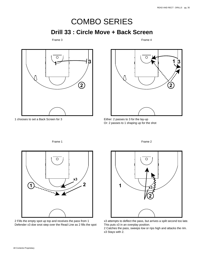## **Drill 33 : Circle Move + Back Screen**

#### Frame 3

Frame 4



1 chooses to set a Back Screen for 3



Either: 2 passes to 3 for the lay-up Or: 2 passes to 1 shaping up for the shot

 $\circ$ **x3 1** 2

2 Fills the empty spot up top and receives the pass from 1 Defender x3 doe snot step over the Read Line as 2 fills the spot Frame 2



x3 attempts to deflect the pass, but arrives a spilt second too late. This puts x3 in an overplay position.

2 Catches the pass, sweeps low or rips high and attacks the rim. x3 Stays with 2.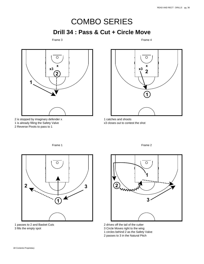# COMBO SERIES **Drill 34 : Pass & Cut + Circle Move**

#### Frame 3

Frame 4



 is stopped by imaginary defender x is already filling the Safety Valve Reverse Pivots to pass to 1



 catches and shoots x3 closes out to contest the shot

Frame 1



 passes to 2 and Basket Cuts fills the empty spot



- drives off the tail of the cutter
- Circle Moves right to the wing
- circles behind 2 as the Safety Valve
- passes to 3 in the Natural Pitch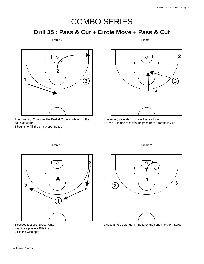## **Drill 35 : Pass & Cut + Circle Move + Pass & Cut**

#### Frame 3

Frame 4



After passing, 2 finishes the Basket Cut and Fils out to the ball-side corner

1 begins to Fill the empty spot up top



Imageinary defender x is over the read line 1 Rear Cuts and receives the pass from 3 for the lay-up

Frame 2



1 passes to 2 and Basket Cuts Imaginary player x Fills the top 3 fills the wing spot

O **1 3 2**

1 sees a help defender in the lane and curls into a Pin Screen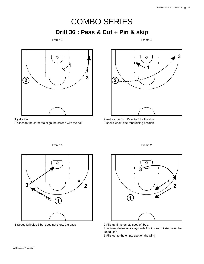# COMBO SERIES **Drill 36 : Pass & Cut + Pin & skip**

#### Frame 3

Frame 4



yells Pin

slides to the corner to align the screen with the ball



 makes the Skip Pass to 3 for the shot seeks weak-side reboudning position



Speed Dribbles 3 but does not thorw the pass





 Fills up ti the empty spot left by 1 Imaginary defender x stays with 2 but does not step over the Read Line

Fills out to the empty spot on the wing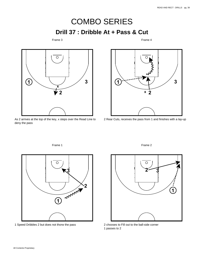# COMBO SERIES **Drill 37 : Dribble At + Pass & Cut**

### Frame 3

Frame 4



As 2 arrives at the top of the key, x steps over the Read Line to deny the pass

Frame 1



2 Rear Cuts, receives the pass from 1 and finishes with a lay-up



1 Speed Dribbles 2 but does not thorw the pass

Frame 2



2 chooses to Fill out to the ball-side corner 1 passes to 2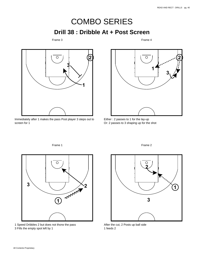## COMBO SERIES **Drill 38 : Dribble At + Post Screen**

#### Frame 3

Frame 4



Immediately after 1 makes the pass Post player 3 steps out to screen for 1

Frame 1



Either : 2 passes to 1 for the lay-up Or: 2 passes to 3 shaping up for the shot



1 Speed Dribbles 2 but does not thorw the pass 3 Fills the empty spot left by 1



After the cut, 2 Posts up ball side 1 feeds 2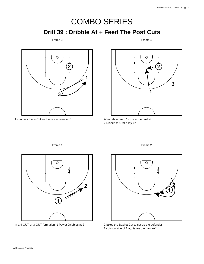# COMBO SERIES **Drill 39 : Dribble At + Feed The Post Cuts**

Frame 3

Frame 4



chooses the X-Cut and sets a screen for 3



After teh screen, 1 cuts to the basket Dishes to 1 for a lay-up

Frame 1



In a 4-OUT or 3-OUT formation, 1 Power Dribbles at 2

Frame 2



 fakes the Basket Cut to set up the defender cuts outside of 1 a,d takes the hand-off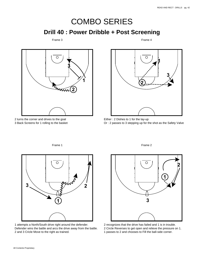**Drill 40 : Power Dribble + Post Screening**

Frame 3

Frame 4



 turns the corner and drives to the goal Back Screens for 1 rolling to the basket



Either : 2 Dishes to 1 for the lay-up Or : 2 passes to 3 stepping up for the shot as the Safety Valve

Frame 2

**A**M 

 attempts a North/South drive right around the defender. Defender wins the battle and arcs the drive away from the battle. and 3 Cricle Move to the right as trained.



 recognizes that the drive has failed and 1 is in trouble. Circle Reverses to get open and relieve the pressure on 1. passes to 2 and chooses to Fill the ball-side corner.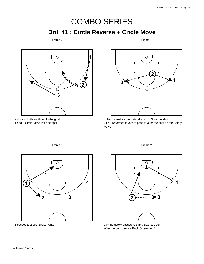## COMBO SERIES **Drill 41 : Circle Reverse + Cricle Move**

#### Frame 3

Frame 4



2 drives North/south left to the goal. 1 and 3 Circle Move left one spot.



Either : 2 makes the Natural Pitch to 3 for the shot Or : 2 Reverses Pivots to pass to 3 for the shot as the Safety Valve



Frame 1

1 passes to 2 and Basket Cuts



2 immediately passes to 3 and Basket Cuts. After the cut, 1 sets a Back Screen for 4.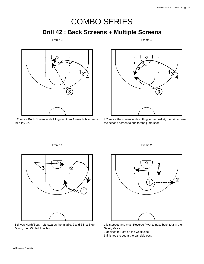**Drill 42 : Back Screens + Multiple Screens**

Frame 3

Frame 4



If 2 sets a BAck Screen while filling out, then 4 uses boh screens for a lay-up.

Frame 1



If 2 sets a the screen while cutting to the basket, then 4 can use the second screen to curl for the jump shot.



1 drives North/South left towards the middle, 2 and 3 first Step Down, then Circle Move left



1 is stopped and must Reverse Pivot to pass back to 2 in the Safety Valve.

- 1 decides to Post on the weak side.
- 3 finishes the cut at the ball side post.